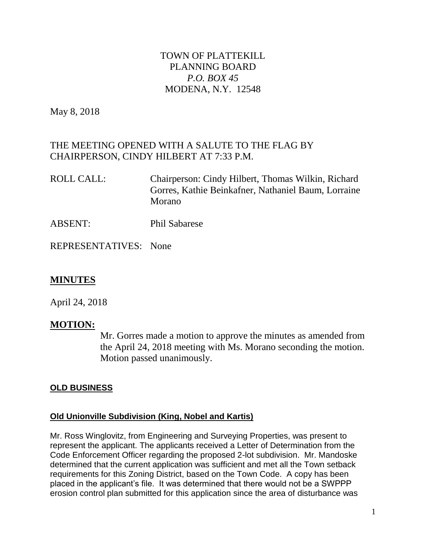# TOWN OF PLATTEKILL PLANNING BOARD *P.O. BOX 45* MODENA, N.Y. 12548

May 8, 2018

# THE MEETING OPENED WITH A SALUTE TO THE FLAG BY CHAIRPERSON, CINDY HILBERT AT 7:33 P.M.

- ROLL CALL: Chairperson: Cindy Hilbert, Thomas Wilkin, Richard Gorres, Kathie Beinkafner, Nathaniel Baum, Lorraine Morano
- ABSENT: Phil Sabarese

REPRESENTATIVES: None

## **MINUTES**

April 24, 2018

## **MOTION:**

Mr. Gorres made a motion to approve the minutes as amended from the April 24, 2018 meeting with Ms. Morano seconding the motion. Motion passed unanimously.

## **OLD BUSINESS**

## **Old Unionville Subdivision (King, Nobel and Kartis)**

Mr. Ross Winglovitz, from Engineering and Surveying Properties, was present to represent the applicant. The applicants received a Letter of Determination from the Code Enforcement Officer regarding the proposed 2-lot subdivision. Mr. Mandoske determined that the current application was sufficient and met all the Town setback requirements for this Zoning District, based on the Town Code. A copy has been placed in the applicant's file. It was determined that there would not be a SWPPP erosion control plan submitted for this application since the area of disturbance was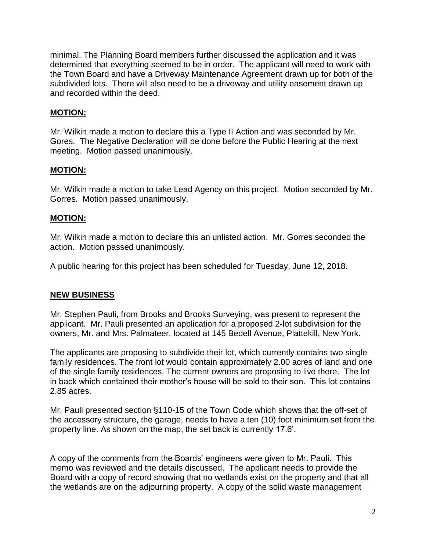minimal. The Planning Board members further discussed the application and it was determined that everything seemed to be in order. The applicant will need to work with the Town Board and have a Driveway Maintenance Agreement drawn up for both of the subdivided lots. There will also need to be a driveway and utility easement drawn up and recorded within the deed.

#### **MOTION:**

Mr. Wilkin made a motion to declare this a Type II Action and was seconded by Mr. Gores. The Negative Declaration will be done before the Public Hearing at the next meeting. Motion passed unanimously.

#### **MOTION:**

Mr. Wilkin made a motion to take Lead Agency on this project. Motion seconded by Mr. Gorres. Motion passed unanimously.

## **MOTION:**

Mr. Wilkin made a motion to declare this an unlisted action. Mr. Gorres seconded the action. Motion passed unanimously.

A public hearing for this project has been scheduled for Tuesday, June 12, 2018.

## **NEW BUSINESS**

Mr. Stephen Pauli, from Brooks and Brooks Surveying, was present to represent the applicant. Mr. Pauli presented an application for a proposed 2-lot subdivision for the owners, Mr. and Mrs. Palmateer, located at 145 Bedell Avenue, Plattekill, New York.

The applicants are proposing to subdivide their lot, which currently contains two single family residences. The front lot would contain approximately 2.00 acres of land and one of the single family residences. The current owners are proposing to live there. The lot in back which contained their mother's house will be sold to their son. This lot contains 2.85 acres.

Mr. Pauli presented section §110-15 of the Town Code which shows that the off-set of the accessory structure, the garage, needs to have a ten (10) foot minimum set from the property line. As shown on the map, the set back is currently 17.6'.

A copy of the comments from the Boards' engineers were given to Mr. Pauli. This memo was reviewed and the details discussed. The applicant needs to provide the Board with a copy of record showing that no wetlands exist on the property and that all the wetlands are on the adjourning property. A copy of the solid waste management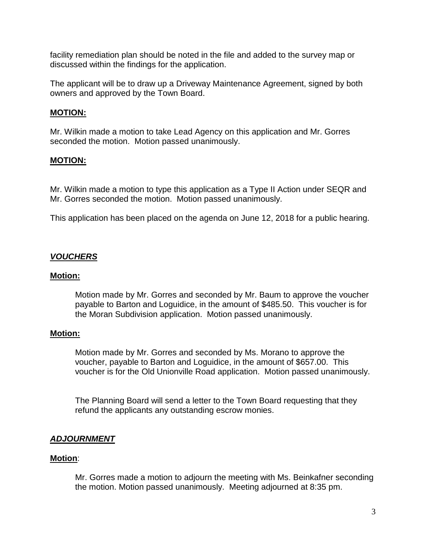facility remediation plan should be noted in the file and added to the survey map or discussed within the findings for the application.

The applicant will be to draw up a Driveway Maintenance Agreement, signed by both owners and approved by the Town Board.

#### **MOTION:**

Mr. Wilkin made a motion to take Lead Agency on this application and Mr. Gorres seconded the motion. Motion passed unanimously.

## **MOTION:**

Mr. Wilkin made a motion to type this application as a Type II Action under SEQR and Mr. Gorres seconded the motion. Motion passed unanimously.

This application has been placed on the agenda on June 12, 2018 for a public hearing.

## *VOUCHERS*

#### **Motion:**

Motion made by Mr. Gorres and seconded by Mr. Baum to approve the voucher payable to Barton and Loguidice, in the amount of \$485.50. This voucher is for the Moran Subdivision application. Motion passed unanimously.

#### **Motion:**

Motion made by Mr. Gorres and seconded by Ms. Morano to approve the voucher, payable to Barton and Loguidice, in the amount of \$657.00. This voucher is for the Old Unionville Road application. Motion passed unanimously.

The Planning Board will send a letter to the Town Board requesting that they refund the applicants any outstanding escrow monies.

## *ADJOURNMENT*

#### **Motion**:

Mr. Gorres made a motion to adjourn the meeting with Ms. Beinkafner seconding the motion. Motion passed unanimously. Meeting adjourned at 8:35 pm.